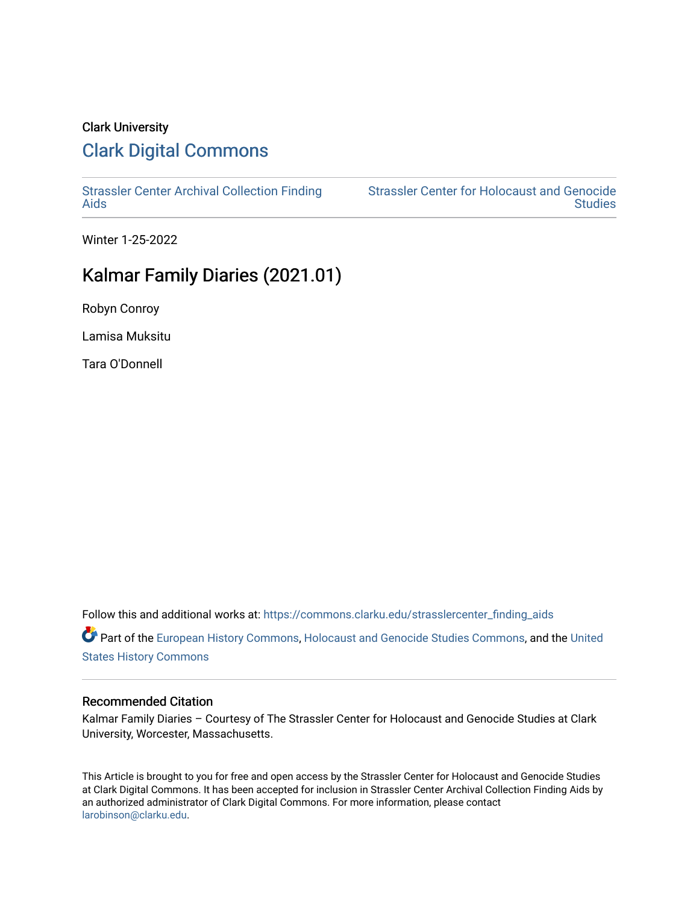# Clark University [Clark Digital Commons](https://commons.clarku.edu/)

[Strassler Center Archival Collection Finding](https://commons.clarku.edu/strasslercenter_finding_aids) [Aids](https://commons.clarku.edu/strasslercenter_finding_aids) 

[Strassler Center for Holocaust and Genocide](https://commons.clarku.edu/strasslercenter)  **Studies** 

Winter 1-25-2022

# Kalmar Family Diaries (2021.01)

Robyn Conroy

Lamisa Muksitu

Tara O'Donnell

Follow this and additional works at: [https://commons.clarku.edu/strasslercenter\\_finding\\_aids](https://commons.clarku.edu/strasslercenter_finding_aids?utm_source=commons.clarku.edu%2Fstrasslercenter_finding_aids%2F2&utm_medium=PDF&utm_campaign=PDFCoverPages) Part of the [European History Commons](http://network.bepress.com/hgg/discipline/492?utm_source=commons.clarku.edu%2Fstrasslercenter_finding_aids%2F2&utm_medium=PDF&utm_campaign=PDFCoverPages), [Holocaust and Genocide Studies Commons,](http://network.bepress.com/hgg/discipline/1413?utm_source=commons.clarku.edu%2Fstrasslercenter_finding_aids%2F2&utm_medium=PDF&utm_campaign=PDFCoverPages) and the [United](http://network.bepress.com/hgg/discipline/495?utm_source=commons.clarku.edu%2Fstrasslercenter_finding_aids%2F2&utm_medium=PDF&utm_campaign=PDFCoverPages)  [States History Commons](http://network.bepress.com/hgg/discipline/495?utm_source=commons.clarku.edu%2Fstrasslercenter_finding_aids%2F2&utm_medium=PDF&utm_campaign=PDFCoverPages)

#### Recommended Citation

Kalmar Family Diaries – Courtesy of The Strassler Center for Holocaust and Genocide Studies at Clark University, Worcester, Massachusetts.

This Article is brought to you for free and open access by the Strassler Center for Holocaust and Genocide Studies at Clark Digital Commons. It has been accepted for inclusion in Strassler Center Archival Collection Finding Aids by an authorized administrator of Clark Digital Commons. For more information, please contact [larobinson@clarku.edu.](mailto:larobinson@clarku.edu)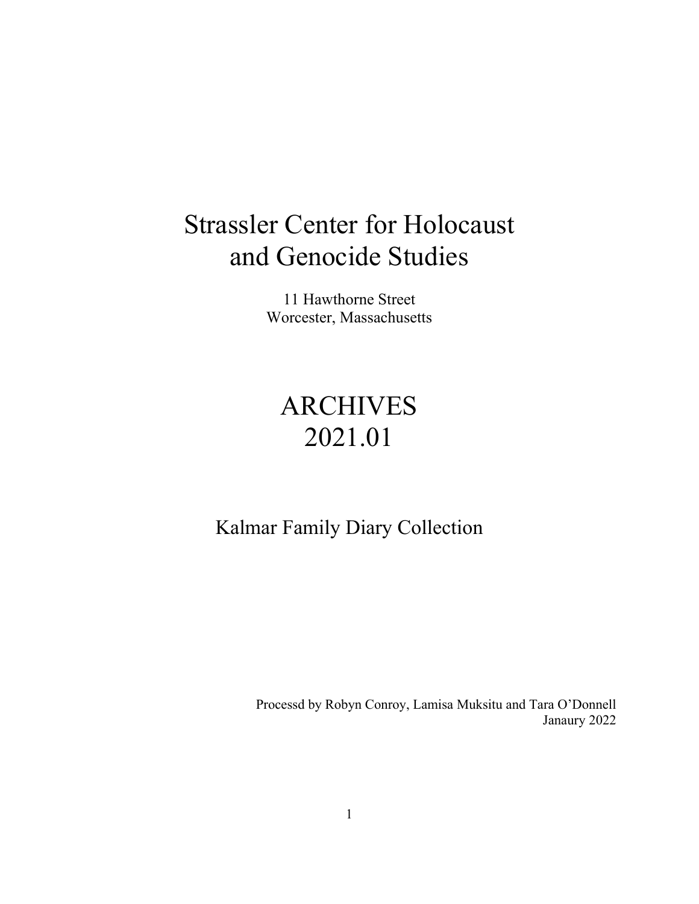# Strassler Center for Holocaust and Genocide Studies

11 Hawthorne Street Worcester, Massachusetts

# ARCHIVES 2021.01

Kalmar Family Diary Collection

Processd by Robyn Conroy, Lamisa Muksitu and Tara O'Donnell Janaury 2022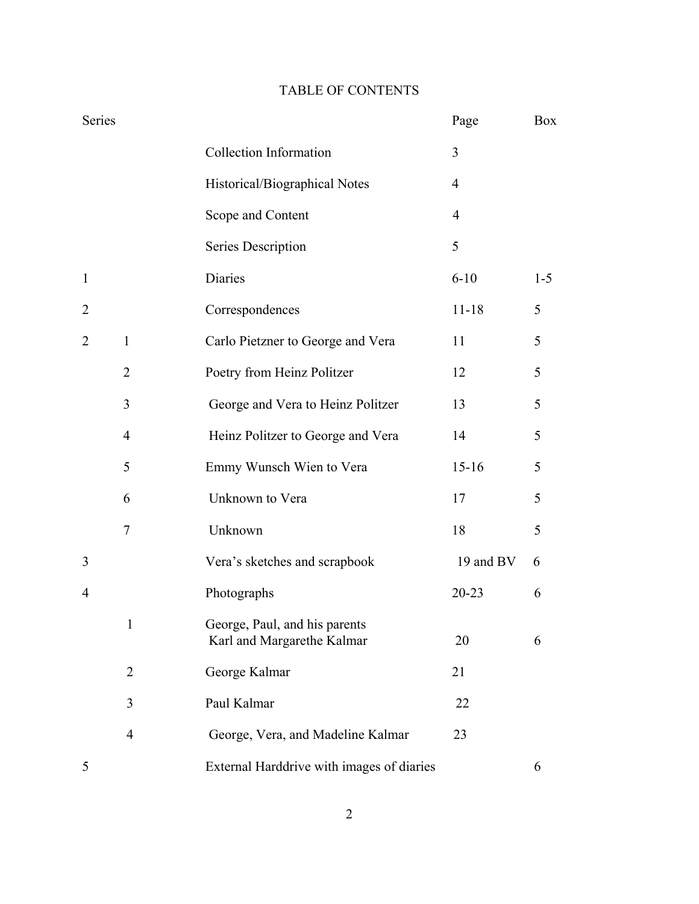### TABLE OF CONTENTS

| Series         |                |                                                             | Page           | Box     |
|----------------|----------------|-------------------------------------------------------------|----------------|---------|
|                |                | <b>Collection Information</b>                               | 3              |         |
|                |                | Historical/Biographical Notes                               | $\overline{4}$ |         |
|                |                | Scope and Content                                           | $\overline{4}$ |         |
|                |                | Series Description                                          | 5              |         |
| $\mathbf{1}$   |                | Diaries                                                     | $6 - 10$       | $1 - 5$ |
| $\overline{2}$ |                | Correspondences                                             | $11 - 18$      | 5       |
| $\overline{2}$ | $\mathbf{1}$   | Carlo Pietzner to George and Vera                           | 11             | 5       |
|                | $\overline{2}$ | Poetry from Heinz Politzer                                  | 12             | 5       |
|                | 3              | George and Vera to Heinz Politzer                           | 13             | 5       |
|                | $\overline{4}$ | Heinz Politzer to George and Vera                           | 14             | 5       |
|                | 5              | Emmy Wunsch Wien to Vera                                    | $15 - 16$      | 5       |
|                | 6              | Unknown to Vera                                             | 17             | 5       |
|                | $\tau$         | Unknown                                                     | 18             | 5       |
| 3              |                | Vera's sketches and scrapbook                               | 19 and BV      | 6       |
| 4              |                | Photographs                                                 | $20 - 23$      | 6       |
|                | $\mathbf{1}$   | George, Paul, and his parents<br>Karl and Margarethe Kalmar | 20             | 6       |
|                | $\overline{2}$ | George Kalmar                                               | 21             |         |
|                | 3              | Paul Kalmar                                                 | 22             |         |
|                | $\overline{4}$ | George, Vera, and Madeline Kalmar                           | 23             |         |
| 5              |                | External Harddrive with images of diaries                   |                | 6       |

2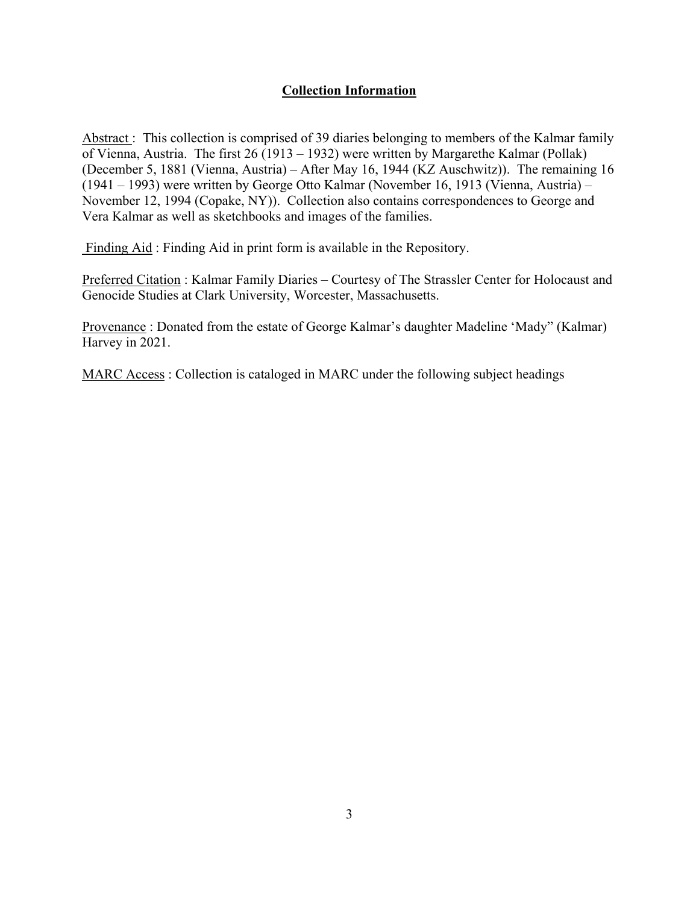### **Collection Information**

Abstract : This collection is comprised of 39 diaries belonging to members of the Kalmar family of Vienna, Austria. The first 26 (1913 – 1932) were written by [Margarethe Kalmar](https://www.geni.com/people/Margarethe-Kalmar/6000000024252189061) (Pollak) (December 5, 1881 (Vienna, Austria) – After May 16, 1944 (KZ Auschwitz)). The remaining 16 (1941 – 1993) were written by George Otto Kalmar (November 16, 1913 (Vienna, Austria) – November 12, 1994 (Copake, NY)). Collection also contains correspondences to George and Vera Kalmar as well as sketchbooks and images of the families.

Finding Aid : Finding Aid in print form is available in the Repository.

Preferred Citation : Kalmar Family Diaries – Courtesy of The Strassler Center for Holocaust and Genocide Studies at Clark University, Worcester, Massachusetts.

Provenance : Donated from the estate of George Kalmar's daughter Madeline 'Mady" (Kalmar) Harvey in 2021.

MARC Access : Collection is cataloged in MARC under the following subject headings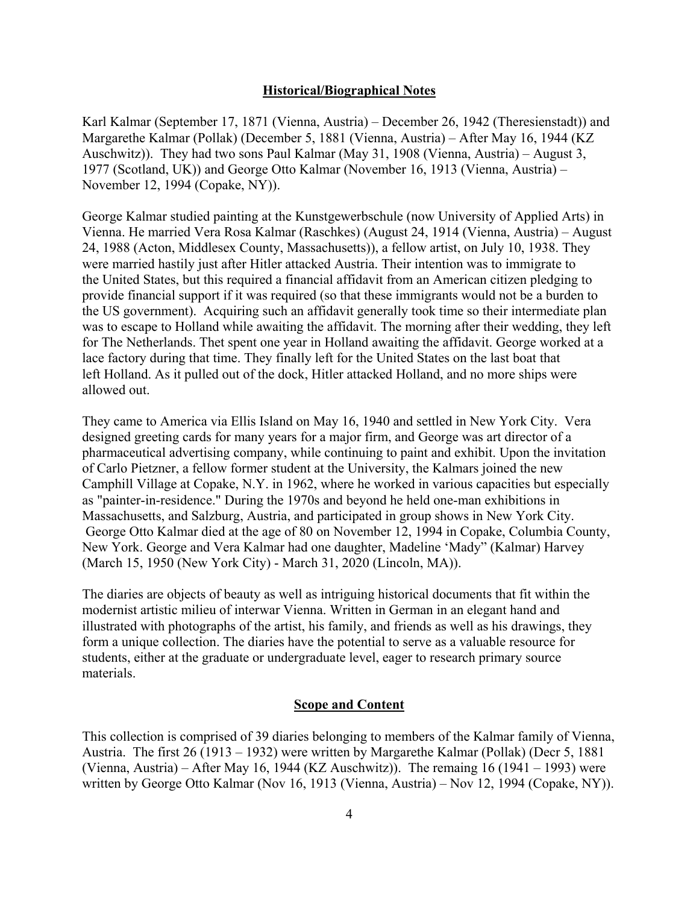#### **Historical/Biographical Notes**

[Karl Kalmar \(September 17, 1871 \(Vienna, Austria\) – December 26, 1942 \(Theresienstadt\)\) a](https://www.geni.com/people/Karl-Kalmar-Kohn/6000000017857270069)nd [Margarethe Kalmar](https://www.geni.com/people/Margarethe-Kalmar/6000000024252189061) (Pollak) (December 5, 1881 (Vienna, Austria) – After May 16, 1944 (KZ Auschwitz)). They had two sons Paul Kalmar (May 31, 1908 (Vienna, Austria) – August 3, 1977 (Scotland, UK)) and George Otto Kalmar (November 16, 1913 (Vienna, Austria) – November 12, 1994 (Copake, NY)).

George Kalmar studied painting at the Kunstgewerbschule (now University of Applied Arts) in Vienna. He married Vera Rosa Kalmar (Raschkes) (August 24, 1914 (Vienna, Austria) – August 24, 1988 (Acton, Middlesex County, Massachusetts)), a fellow artist, on July 10, 1938. They were married hastily just after Hitler attacked Austria. Their intention was to immigrate to the United States, but this required a financial affidavit from an American citizen pledging to provide financial support if it was required (so that these immigrants would not be a burden to the US government). Acquiring such an affidavit generally took time so their intermediate plan was to escape to Holland while awaiting the affidavit. The morning after their wedding, they left for The Netherlands. Thet spent one year in Holland awaiting the affidavit. George worked at a lace factory during that time. They finally left for the United States on the last boat that left Holland. As it pulled out of the dock, Hitler attacked Holland, and no more ships were allowed out.

They came to America via Ellis Island on May 16, 1940 and settled in New York City. Vera designed greeting cards for many years for a major firm, and George was art director of a pharmaceutical advertising company, while continuing to paint and exhibit. Upon the invitation of Carlo Pietzner, a fellow former student at the University, the Kalmars joined the new Camphill Village at Copake, N.Y. in 1962, where he worked in various capacities but especially as "painter-in-residence." During the 1970s and beyond he held one-man exhibitions in Massachusetts, and Salzburg, Austria, and participated in group shows in New York City. George Otto Kalmar died at the age of 80 on November 12, 1994 in Copake, Columbia County, New York. George and Vera Kalmar had one daughter, Madeline 'Mady" (Kalmar) Harvey (March 15, 1950 (New York City) - March 31, 2020 (Lincoln, MA)).

The diaries are objects of beauty as well as intriguing historical documents that fit within the modernist artistic milieu of interwar Vienna. Written in German in an elegant hand and illustrated with photographs of the artist, his family, and friends as well as his drawings, they form a unique collection. The diaries have the potential to serve as a valuable resource for students, either at the graduate or undergraduate level, eager to research primary source materials.

#### **Scope and Content**

This collection is comprised of 39 diaries belonging to members of the Kalmar family of Vienna, Austria. The first 26 (1913 – 1932) were written by [Margarethe Kalmar](https://www.geni.com/people/Margarethe-Kalmar/6000000024252189061) (Pollak) (Decr 5, 1881 (Vienna, Austria) – After May 16, 1944 (KZ Auschwitz)). The remaing  $16(1941 - 1993)$  were written by George Otto Kalmar (Nov 16, 1913 (Vienna, Austria) – Nov 12, 1994 (Copake, NY)).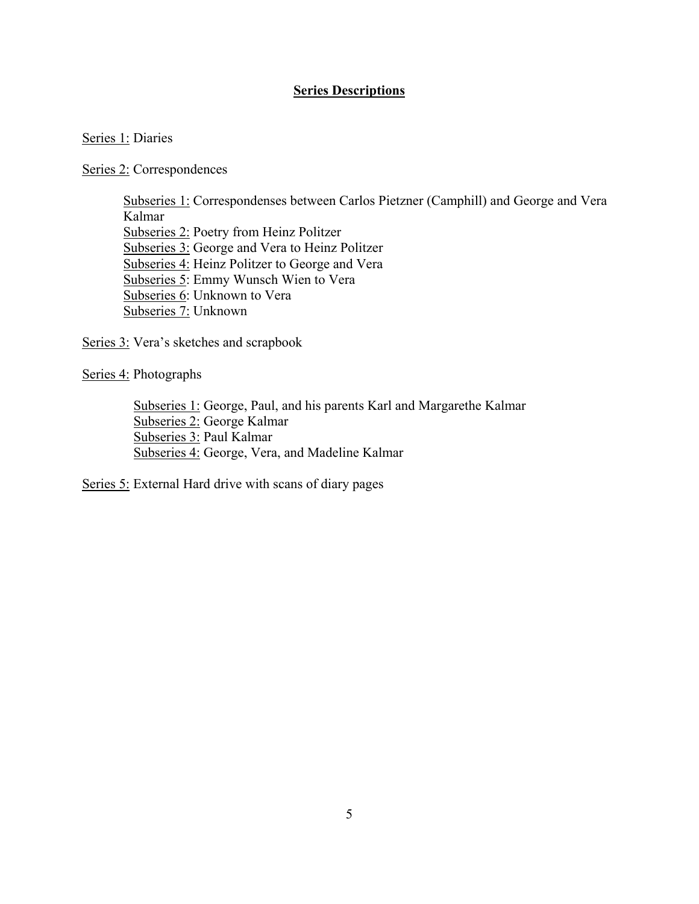### **Series Descriptions**

#### Series 1: Diaries

Series 2: Correspondences

Subseries 1: Correspondenses between Carlos Pietzner (Camphill) and George and Vera Kalmar Subseries 2: Poetry from Heinz Politzer Subseries 3: George and Vera to Heinz Politzer Subseries 4: Heinz Politzer to George and Vera Subseries 5: Emmy Wunsch Wien to Vera Subseries 6: Unknown to Vera Subseries 7: Unknown

Series 3: Vera's sketches and scrapbook

Series 4: Photographs

 Subseries 1: George, Paul, and his parents Karl and Margarethe Kalmar Subseries 2: George Kalmar Subseries 3: Paul Kalmar Subseries 4: George, Vera, and Madeline Kalmar

Series 5: External Hard drive with scans of diary pages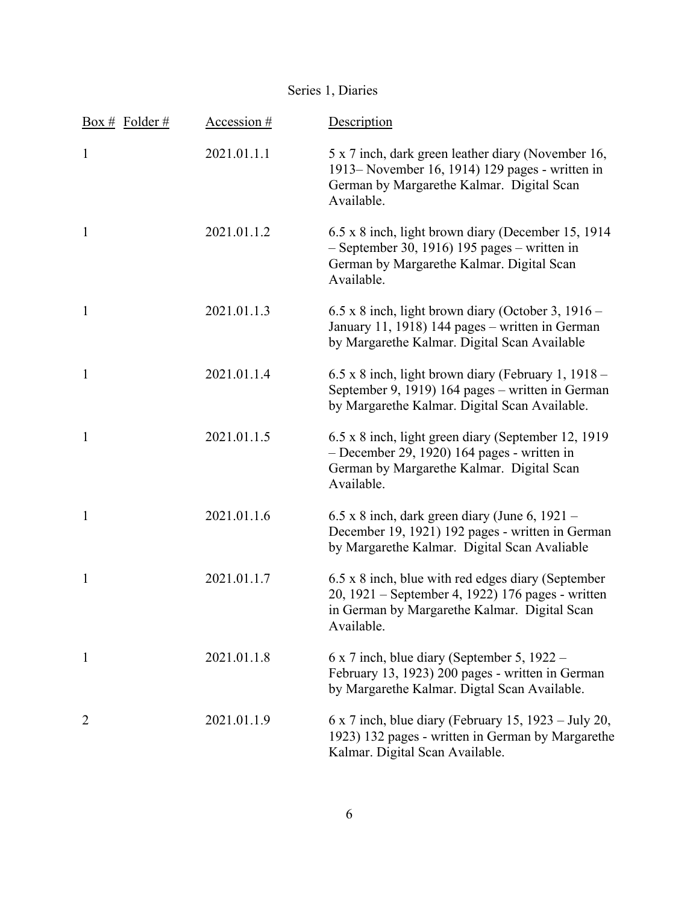| Box # Folder # | Accession # | Description                                                                                                                                                           |
|----------------|-------------|-----------------------------------------------------------------------------------------------------------------------------------------------------------------------|
| $\mathbf{1}$   | 2021.01.1.1 | 5 x 7 inch, dark green leather diary (November 16,<br>1913– November 16, 1914) 129 pages - written in<br>German by Margarethe Kalmar. Digital Scan<br>Available.      |
| $\mathbf{1}$   | 2021.01.1.2 | 6.5 x 8 inch, light brown diary (December 15, 1914)<br>$-$ September 30, 1916) 195 pages – written in<br>German by Margarethe Kalmar. Digital Scan<br>Available.      |
| $\mathbf{1}$   | 2021.01.1.3 | $6.5 \times 8$ inch, light brown diary (October 3, 1916 –<br>January 11, 1918) 144 pages – written in German<br>by Margarethe Kalmar. Digital Scan Available          |
| $\mathbf{1}$   | 2021.01.1.4 | $6.5 \times 8$ inch, light brown diary (February 1, 1918 –<br>September 9, 1919) 164 pages – written in German<br>by Margarethe Kalmar. Digital Scan Available.       |
| $\mathbf{1}$   | 2021.01.1.5 | 6.5 x 8 inch, light green diary (September 12, 1919)<br>- December 29, 1920) 164 pages - written in<br>German by Margarethe Kalmar. Digital Scan<br>Available.        |
| $\mathbf{1}$   | 2021.01.1.6 | 6.5 x 8 inch, dark green diary (June 6, 1921 -<br>December 19, 1921) 192 pages - written in German<br>by Margarethe Kalmar. Digital Scan Avaliable                    |
| 1              | 2021.01.1.7 | 6.5 x 8 inch, blue with red edges diary (September<br>20, 1921 – September 4, 1922) 176 pages - written<br>in German by Margarethe Kalmar. Digital Scan<br>Available. |
| 1              | 2021.01.1.8 | $6 \times 7$ inch, blue diary (September 5, 1922 –<br>February 13, 1923) 200 pages - written in German<br>by Margarethe Kalmar. Digtal Scan Available.                |
| $\overline{2}$ | 2021.01.1.9 | $6 \times 7$ inch, blue diary (February 15, 1923 – July 20,<br>1923) 132 pages - written in German by Margarethe<br>Kalmar. Digital Scan Available.                   |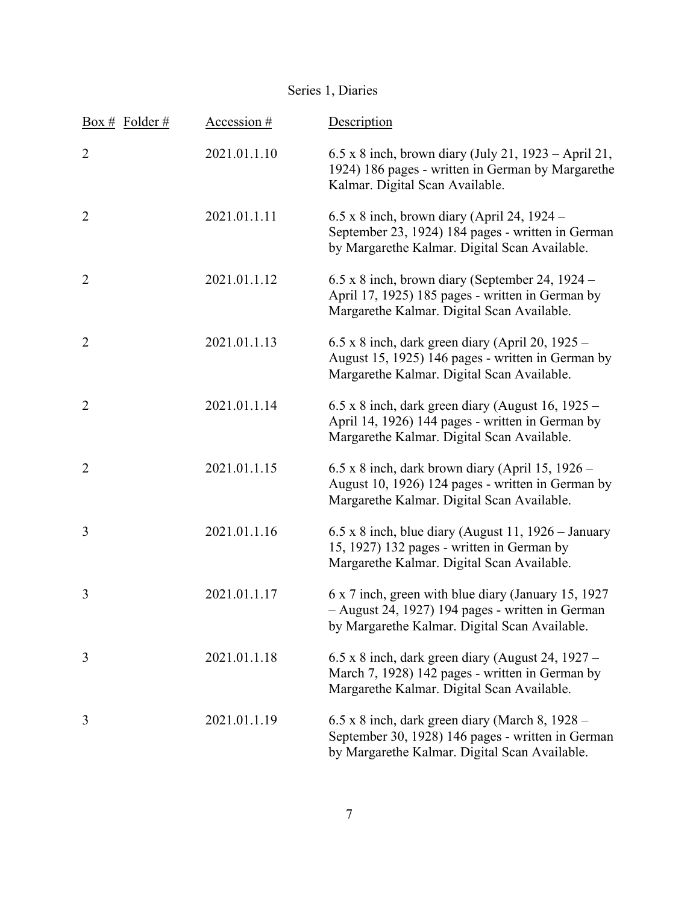| <u>Box # Folder #</u> | Accession #  | Description                                                                                                                                                |
|-----------------------|--------------|------------------------------------------------------------------------------------------------------------------------------------------------------------|
| $\overline{2}$        | 2021.01.1.10 | 6.5 x 8 inch, brown diary (July 21, 1923 – April 21,<br>1924) 186 pages - written in German by Margarethe<br>Kalmar. Digital Scan Available.               |
| $\overline{2}$        | 2021.01.1.11 | $6.5 \times 8$ inch, brown diary (April 24, 1924 –<br>September 23, 1924) 184 pages - written in German<br>by Margarethe Kalmar. Digital Scan Available.   |
| $\overline{2}$        | 2021.01.1.12 | $6.5 \times 8$ inch, brown diary (September 24, 1924 –<br>April 17, 1925) 185 pages - written in German by<br>Margarethe Kalmar. Digital Scan Available.   |
| $\overline{2}$        | 2021.01.1.13 | $6.5 \times 8$ inch, dark green diary (April 20, 1925 –<br>August 15, 1925) 146 pages - written in German by<br>Margarethe Kalmar. Digital Scan Available. |
| $\overline{2}$        | 2021.01.1.14 | $6.5 \times 8$ inch, dark green diary (August 16, 1925 –<br>April 14, 1926) 144 pages - written in German by<br>Margarethe Kalmar. Digital Scan Available. |
| $\overline{2}$        | 2021.01.1.15 | $6.5 \times 8$ inch, dark brown diary (April 15, 1926 –<br>August 10, 1926) 124 pages - written in German by<br>Margarethe Kalmar. Digital Scan Available. |
| 3                     | 2021.01.1.16 | $6.5 \times 8$ inch, blue diary (August 11, 1926 – January<br>15, 1927) 132 pages - written in German by<br>Margarethe Kalmar. Digital Scan Available.     |
| 3                     | 2021.01.1.17 | 6 x 7 inch, green with blue diary (January 15, 1927)<br>- August 24, 1927) 194 pages - written in German<br>by Margarethe Kalmar. Digital Scan Available.  |
| 3                     | 2021.01.1.18 | $6.5 \times 8$ inch, dark green diary (August 24, 1927 –<br>March 7, 1928) 142 pages - written in German by<br>Margarethe Kalmar. Digital Scan Available.  |
| 3                     | 2021.01.1.19 | 6.5 x 8 inch, dark green diary (March 8, 1928 -<br>September 30, 1928) 146 pages - written in German<br>by Margarethe Kalmar. Digital Scan Available.      |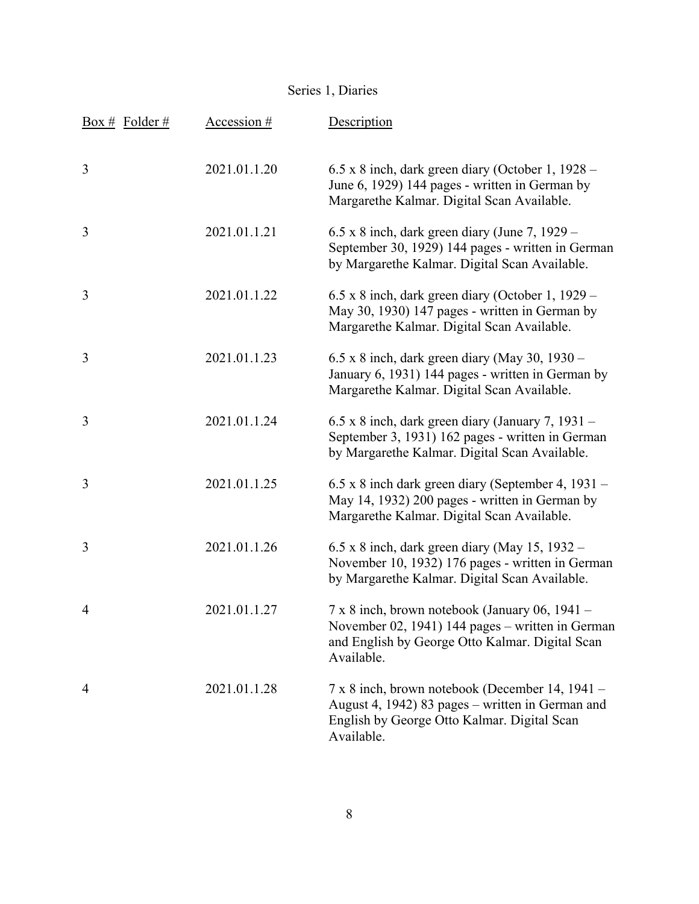| <u>Box # Folder #</u> | Accession #  | Description                                                                                                                                                                |
|-----------------------|--------------|----------------------------------------------------------------------------------------------------------------------------------------------------------------------------|
| 3                     | 2021.01.1.20 | $6.5 \times 8$ inch, dark green diary (October 1, 1928 –<br>June 6, 1929) 144 pages - written in German by<br>Margarethe Kalmar. Digital Scan Available.                   |
| 3                     | 2021.01.1.21 | $6.5$ x 8 inch, dark green diary (June 7, 1929 –<br>September 30, 1929) 144 pages - written in German<br>by Margarethe Kalmar. Digital Scan Available.                     |
| 3                     | 2021.01.1.22 | $6.5 \times 8$ inch, dark green diary (October 1, 1929 –<br>May 30, 1930) 147 pages - written in German by<br>Margarethe Kalmar. Digital Scan Available.                   |
| 3                     | 2021.01.1.23 | $6.5 \times 8$ inch, dark green diary (May 30, 1930 –<br>January 6, 1931) 144 pages - written in German by<br>Margarethe Kalmar. Digital Scan Available.                   |
| 3                     | 2021.01.1.24 | $6.5 \times 8$ inch, dark green diary (January 7, 1931 –<br>September 3, 1931) 162 pages - written in German<br>by Margarethe Kalmar. Digital Scan Available.              |
| 3                     | 2021.01.1.25 | 6.5 x 8 inch dark green diary (September 4, 1931 –<br>May 14, 1932) 200 pages - written in German by<br>Margarethe Kalmar. Digital Scan Available.                         |
| 3                     | 2021.01.1.26 | $6.5 \times 8$ inch, dark green diary (May 15, 1932 –<br>November 10, 1932) 176 pages - written in German<br>by Margarethe Kalmar. Digital Scan Available.                 |
| $\overline{4}$        | 2021.01.1.27 | $7 \times 8$ inch, brown notebook (January 06, 1941 –<br>November 02, 1941) 144 pages - written in German<br>and English by George Otto Kalmar. Digital Scan<br>Available. |
| $\overline{4}$        | 2021.01.1.28 | 7 x 8 inch, brown notebook (December 14, 1941 –<br>August 4, 1942) 83 pages – written in German and<br>English by George Otto Kalmar. Digital Scan<br>Available.           |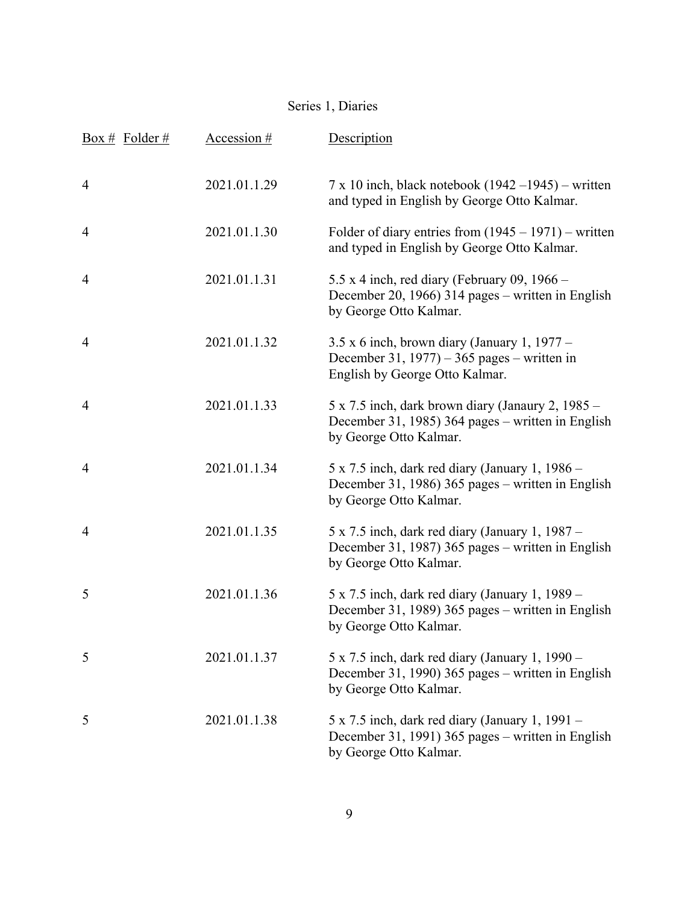| Box # Folder # | Accession #  | Description                                                                                                                             |
|----------------|--------------|-----------------------------------------------------------------------------------------------------------------------------------------|
| 4              | 2021.01.1.29 | $7 \times 10$ inch, black notebook (1942 –1945) – written<br>and typed in English by George Otto Kalmar.                                |
| $\overline{4}$ | 2021.01.1.30 | Folder of diary entries from $(1945 - 1971)$ – written<br>and typed in English by George Otto Kalmar.                                   |
| 4              | 2021.01.1.31 | 5.5 x 4 inch, red diary (February 09, $1966 -$<br>December 20, 1966) 314 pages – written in English<br>by George Otto Kalmar.           |
| $\overline{4}$ | 2021.01.1.32 | $3.5 \times 6$ inch, brown diary (January 1, 1977 –<br>December 31, $1977$ ) – 365 pages – written in<br>English by George Otto Kalmar. |
| 4              | 2021.01.1.33 | $5 \times 7.5$ inch, dark brown diary (Janaury 2, 1985 –<br>December 31, 1985) 364 pages – written in English<br>by George Otto Kalmar. |
| $\overline{4}$ | 2021.01.1.34 | 5 x 7.5 inch, dark red diary (January 1, 1986 -<br>December 31, 1986) 365 pages - written in English<br>by George Otto Kalmar.          |
| $\overline{4}$ | 2021.01.1.35 | $5 \times 7.5$ inch, dark red diary (January 1, 1987 –<br>December 31, 1987) 365 pages – written in English<br>by George Otto Kalmar.   |
| 5              | 2021.01.1.36 | 5 x 7.5 inch, dark red diary (January 1, 1989 –<br>December 31, 1989) 365 pages – written in English<br>by George Otto Kalmar.          |
| 5              | 2021.01.1.37 | $5 \times 7.5$ inch, dark red diary (January 1, 1990 –<br>December 31, 1990) 365 pages – written in English<br>by George Otto Kalmar.   |
| 5              | 2021.01.1.38 | $5 \times 7.5$ inch, dark red diary (January 1, 1991 –<br>December 31, 1991) 365 pages – written in English<br>by George Otto Kalmar.   |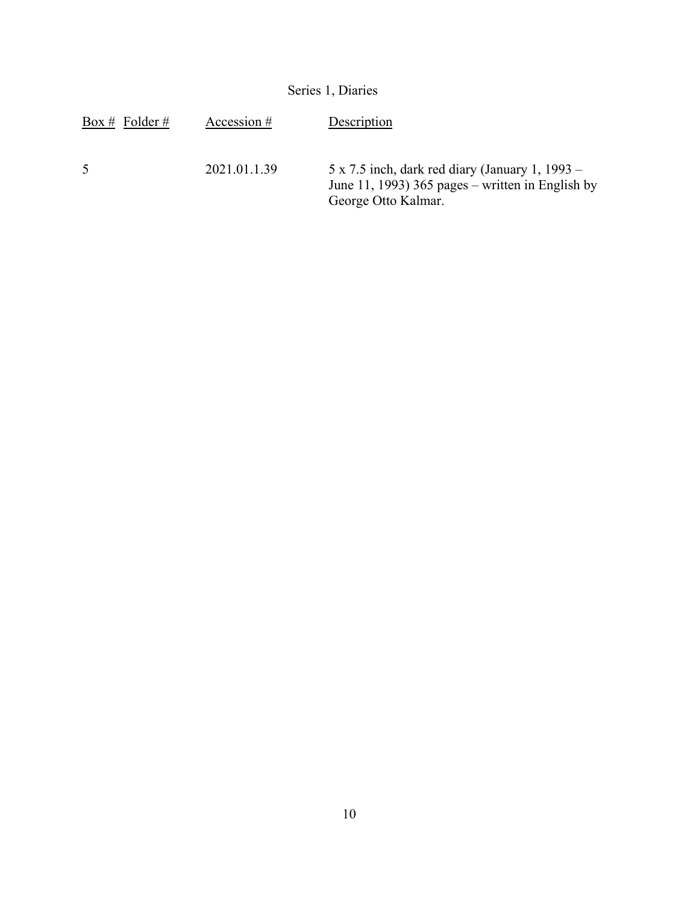| Series 1, Diaries |              |                                                                                                                                   |  |
|-------------------|--------------|-----------------------------------------------------------------------------------------------------------------------------------|--|
| Box # Folder #    | Accession #  | Description                                                                                                                       |  |
| 5                 | 2021.01.1.39 | $5 \times 7.5$ inch, dark red diary (January 1, 1993 –<br>June 11, 1993) 365 pages – written in English by<br>George Otto Kalmar. |  |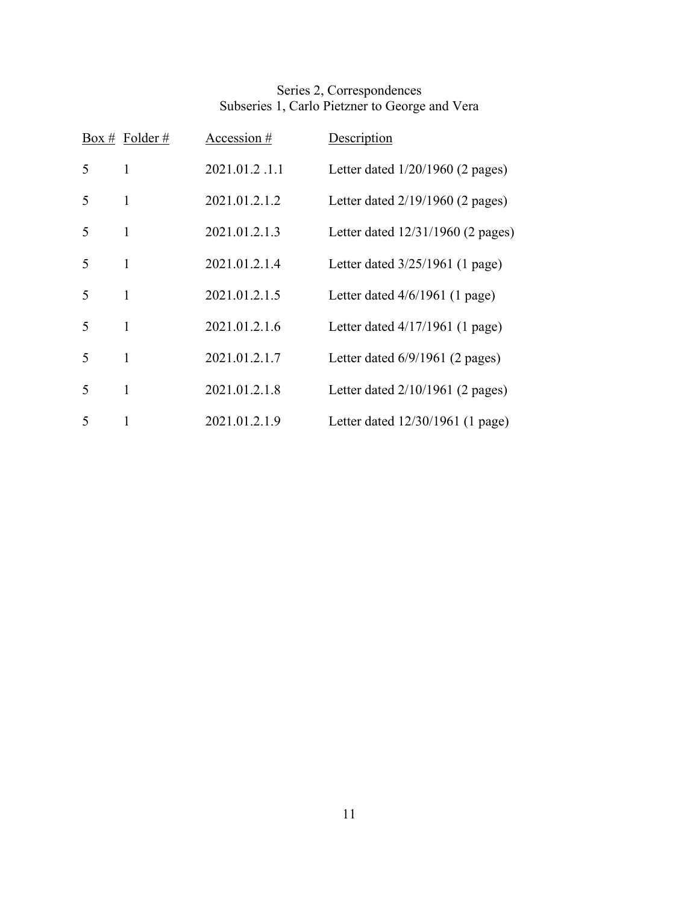### Series 2, Correspondences Subseries 1, Carlo Pietzner to George and Vera

|                          | Box # Folder # | Accession #   | Description                        |
|--------------------------|----------------|---------------|------------------------------------|
| 5                        | 1              | 2021.01.2.1.1 | Letter dated $1/20/1960$ (2 pages) |
| 5                        | 1              | 2021.01.2.1.2 | Letter dated $2/19/1960$ (2 pages) |
| $\overline{\mathcal{L}}$ | 1              | 2021.01.2.1.3 | Letter dated 12/31/1960 (2 pages)  |
| 5                        | 1              | 2021.01.2.1.4 | Letter dated 3/25/1961 (1 page)    |
| 5                        | 1              | 2021.01.2.1.5 | Letter dated $4/6/1961$ (1 page)   |
| 5                        | 1              | 2021.01.2.1.6 | Letter dated $4/17/1961$ (1 page)  |
| 5                        | 1              | 2021.01.2.1.7 | Letter dated $6/9/1961$ (2 pages)  |
| $\overline{\mathcal{L}}$ | 1              | 2021.01.2.1.8 | Letter dated $2/10/1961$ (2 pages) |
| 5                        | 1              | 2021.01.2.1.9 | Letter dated $12/30/1961$ (1 page) |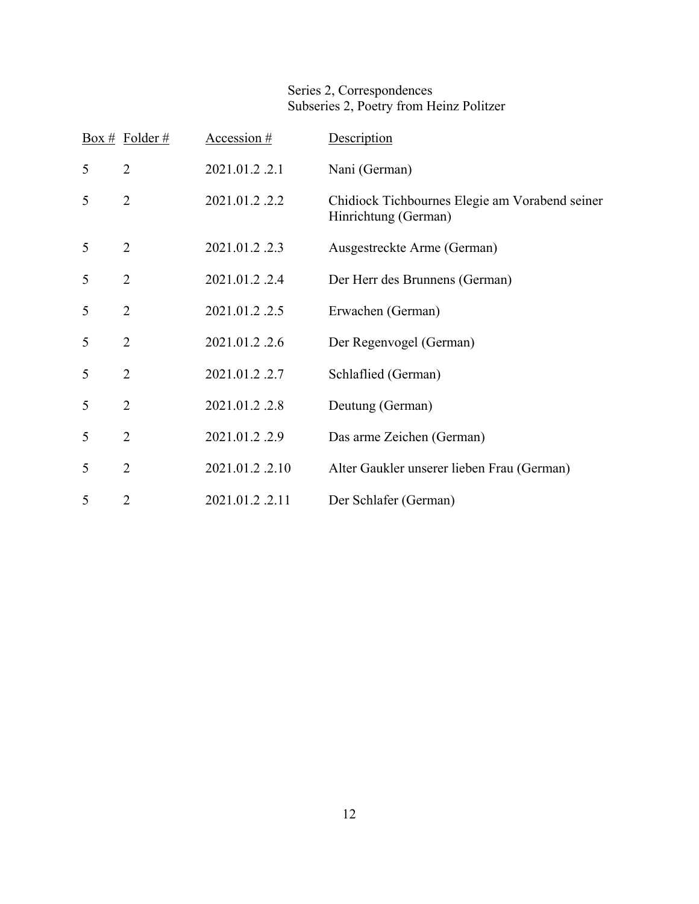### Series 2, Correspondences Subseries 2, Poetry from Heinz Politzer

|   | Box # Folder # | Accession #    | Description                                                            |
|---|----------------|----------------|------------------------------------------------------------------------|
| 5 | $\overline{2}$ | 2021.01.2.2.1  | Nani (German)                                                          |
| 5 | $\overline{2}$ | 2021.01.2.2.2  | Chidiock Tichbournes Elegie am Vorabend seiner<br>Hinrichtung (German) |
| 5 | $\overline{2}$ | 2021.01.2.2.3  | Ausgestreckte Arme (German)                                            |
| 5 | $\overline{2}$ | 2021.01.2.2.4  | Der Herr des Brunnens (German)                                         |
| 5 | $\overline{2}$ | 2021.01.2.2.5  | Erwachen (German)                                                      |
| 5 | $\overline{2}$ | 2021.01.2.2.6  | Der Regenvogel (German)                                                |
| 5 | $\overline{2}$ | 2021.01.2.2.7  | Schlaflied (German)                                                    |
| 5 | $\overline{2}$ | 2021.01.2.2.8  | Deutung (German)                                                       |
| 5 | $\overline{2}$ | 2021.01.2.2.9  | Das arme Zeichen (German)                                              |
| 5 | $\overline{2}$ | 2021.01.2.2.10 | Alter Gaukler unserer lieben Frau (German)                             |
| 5 | $\overline{2}$ | 2021.01.2.2.11 | Der Schlafer (German)                                                  |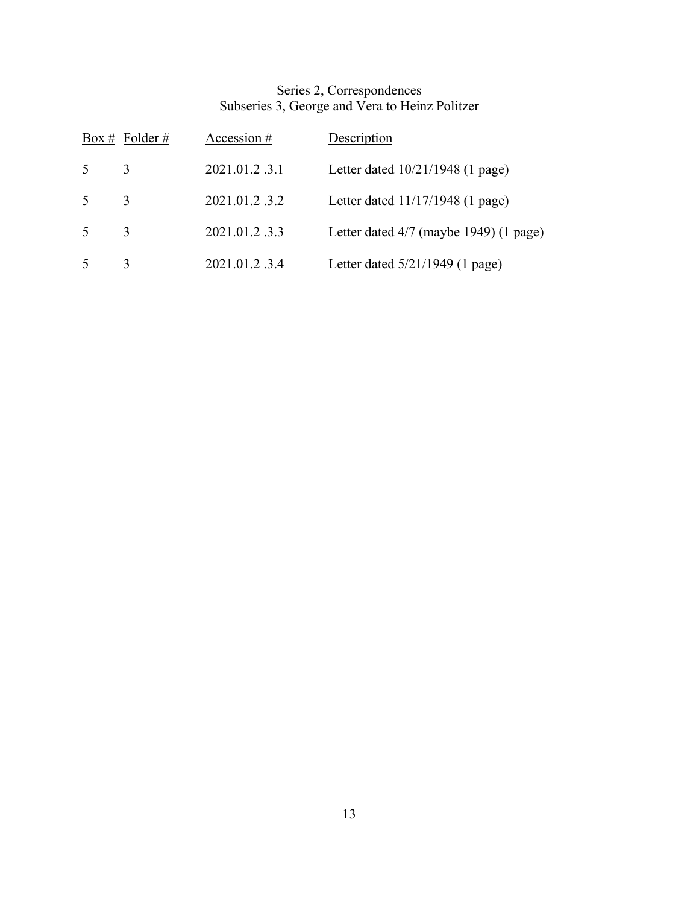### Series 2, Correspondences Subseries 3, George and Vera to Heinz Politzer

|        | Box # Folder # | Accession #   | Description                              |
|--------|----------------|---------------|------------------------------------------|
| 5      | 3              | 2021.01.2.3.1 | Letter dated $10/21/1948$ (1 page)       |
| $\sim$ | $\mathcal{R}$  | 2021.01.2.3.2 | Letter dated $11/17/1948$ (1 page)       |
| 5      | $\mathcal{R}$  | 2021.01.2.3.3 | Letter dated $4/7$ (maybe 1949) (1 page) |
| .5     | 3              | 2021.01.2.3.4 | Letter dated $5/21/1949$ (1 page)        |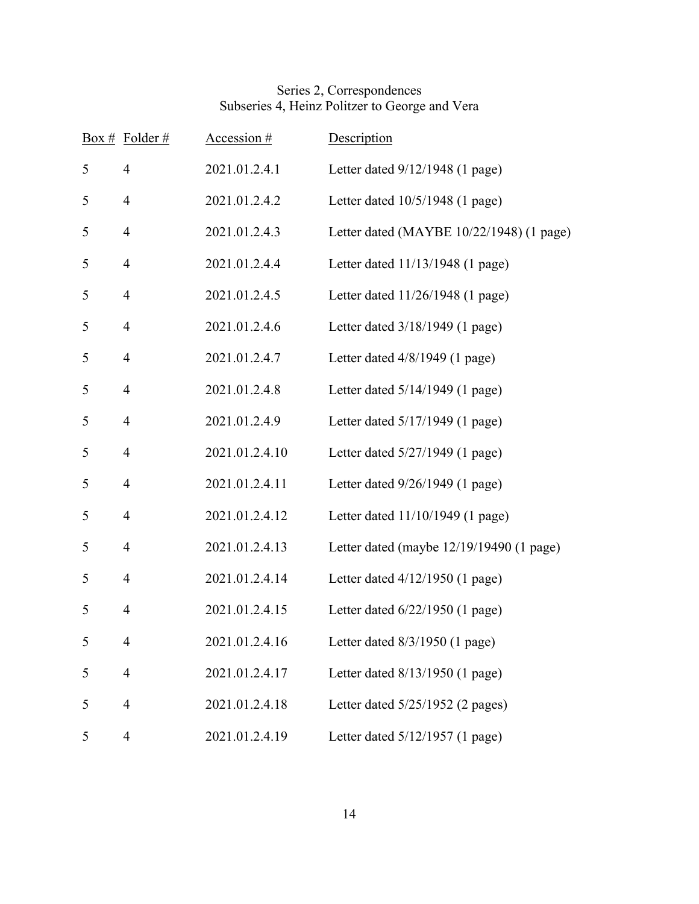### Series 2, Correspondences Subseries 4, Heinz Politzer to George and Vera

|   | Box # Folder # | Accession #    | Description                                |
|---|----------------|----------------|--------------------------------------------|
| 5 | $\overline{4}$ | 2021.01.2.4.1  | Letter dated $9/12/1948$ (1 page)          |
| 5 | $\overline{4}$ | 2021.01.2.4.2  | Letter dated 10/5/1948 (1 page)            |
| 5 | $\overline{4}$ | 2021.01.2.4.3  | Letter dated (MAYBE 10/22/1948) (1 page)   |
| 5 | $\overline{4}$ | 2021.01.2.4.4  | Letter dated 11/13/1948 (1 page)           |
| 5 | $\overline{4}$ | 2021.01.2.4.5  | Letter dated 11/26/1948 (1 page)           |
| 5 | 4              | 2021.01.2.4.6  | Letter dated 3/18/1949 (1 page)            |
| 5 | $\overline{4}$ | 2021.01.2.4.7  | Letter dated $4/8/1949$ (1 page)           |
| 5 | $\overline{4}$ | 2021.01.2.4.8  | Letter dated $5/14/1949$ (1 page)          |
| 5 | $\overline{4}$ | 2021.01.2.4.9  | Letter dated 5/17/1949 (1 page)            |
| 5 | $\overline{4}$ | 2021.01.2.4.10 | Letter dated 5/27/1949 (1 page)            |
| 5 | 4              | 2021.01.2.4.11 | Letter dated 9/26/1949 (1 page)            |
| 5 | $\overline{4}$ | 2021.01.2.4.12 | Letter dated 11/10/1949 (1 page)           |
| 5 | $\overline{4}$ | 2021.01.2.4.13 | Letter dated (maybe $12/19/19490$ (1 page) |
| 5 | $\overline{4}$ | 2021.01.2.4.14 | Letter dated $4/12/1950$ (1 page)          |
| 5 | $\overline{4}$ | 2021.01.2.4.15 | Letter dated $6/22/1950$ (1 page)          |
| 5 | 4              | 2021.01.2.4.16 | Letter dated $8/3/1950$ (1 page)           |
| 5 | $\overline{4}$ | 2021.01.2.4.17 | Letter dated $8/13/1950$ (1 page)          |
| 5 | $\overline{4}$ | 2021.01.2.4.18 | Letter dated $5/25/1952$ (2 pages)         |
| 5 | $\overline{4}$ | 2021.01.2.4.19 | Letter dated 5/12/1957 (1 page)            |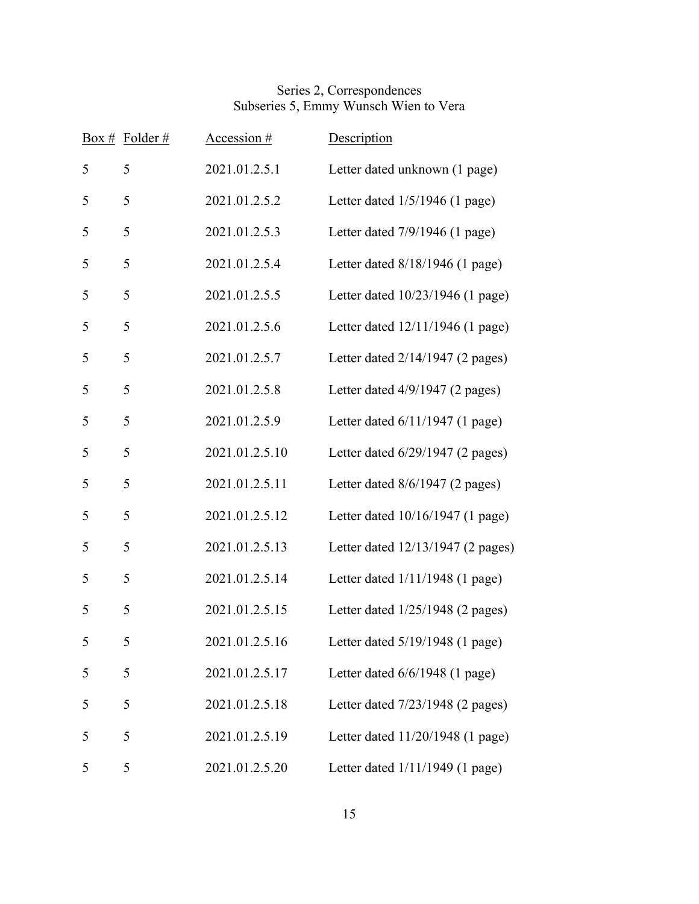### Series 2, Correspondences Subseries 5, Emmy Wunsch Wien to Vera

| Box # | Folder# | Accession $#$  | Description                        |
|-------|---------|----------------|------------------------------------|
| 5     | 5       | 2021.01.2.5.1  | Letter dated unknown (1 page)      |
| 5     | 5       | 2021.01.2.5.2  | Letter dated $1/5/1946$ (1 page)   |
| 5     | 5       | 2021.01.2.5.3  | Letter dated $7/9/1946$ (1 page)   |
| 5     | 5       | 2021.01.2.5.4  | Letter dated 8/18/1946 (1 page)    |
| 5     | 5       | 2021.01.2.5.5  | Letter dated 10/23/1946 (1 page)   |
| 5     | 5       | 2021.01.2.5.6  | Letter dated 12/11/1946 (1 page)   |
| 5     | 5       | 2021.01.2.5.7  | Letter dated $2/14/1947$ (2 pages) |
| 5     | 5       | 2021.01.2.5.8  | Letter dated 4/9/1947 (2 pages)    |
| 5     | 5       | 2021.01.2.5.9  | Letter dated 6/11/1947 (1 page)    |
| 5     | 5       | 2021.01.2.5.10 | Letter dated $6/29/1947$ (2 pages) |
| 5     | 5       | 2021.01.2.5.11 | Letter dated 8/6/1947 (2 pages)    |
| 5     | 5       | 2021.01.2.5.12 | Letter dated 10/16/1947 (1 page)   |
| 5     | 5       | 2021.01.2.5.13 | Letter dated 12/13/1947 (2 pages)  |
| 5     | 5       | 2021.01.2.5.14 | Letter dated 1/11/1948 (1 page)    |
| 5     | 5       | 2021.01.2.5.15 | Letter dated $1/25/1948$ (2 pages) |
| 5     | 5       | 2021.01.2.5.16 | Letter dated 5/19/1948 (1 page)    |
| 5     | 5       | 2021.01.2.5.17 | Letter dated $6/6/1948$ (1 page)   |
| 5     | 5       | 2021.01.2.5.18 | Letter dated 7/23/1948 (2 pages)   |
| 5     | 5       | 2021.01.2.5.19 | Letter dated 11/20/1948 (1 page)   |
| 5     | 5       | 2021.01.2.5.20 | Letter dated 1/11/1949 (1 page)    |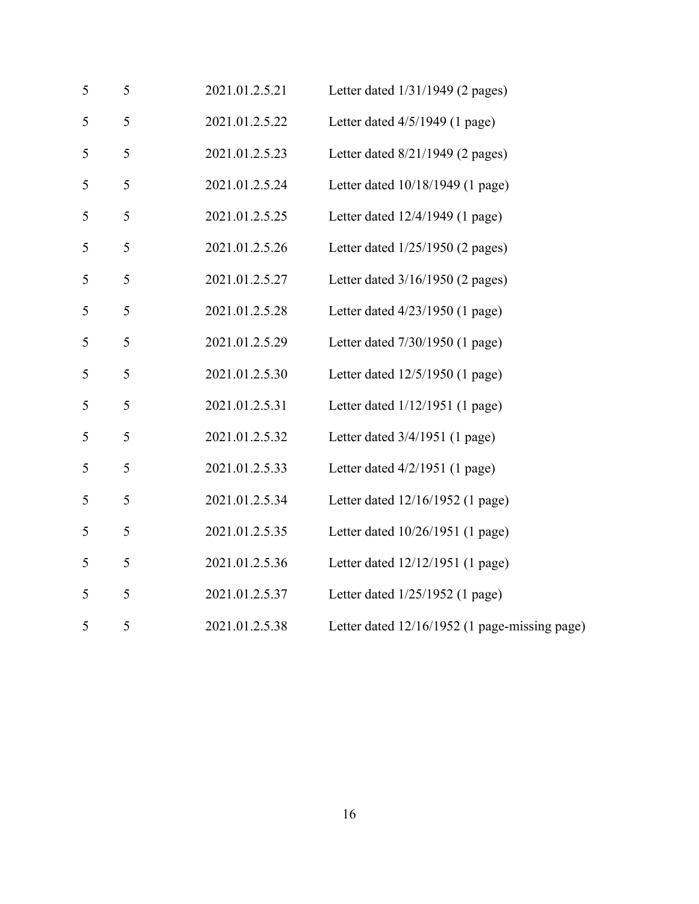| 5             | 5 | 2021.01.2.5.21 | Letter dated 1/31/1949 (2 pages)              |
|---------------|---|----------------|-----------------------------------------------|
| 5             | 5 | 2021.01.2.5.22 | Letter dated $4/5/1949$ (1 page)              |
| $\mathfrak s$ | 5 | 2021.01.2.5.23 | Letter dated $8/21/1949$ (2 pages)            |
| 5             | 5 | 2021.01.2.5.24 | Letter dated 10/18/1949 (1 page)              |
| $\mathfrak s$ | 5 | 2021.01.2.5.25 | Letter dated 12/4/1949 (1 page)               |
| 5             | 5 | 2021.01.2.5.26 | Letter dated $1/25/1950$ (2 pages)            |
| 5             | 5 | 2021.01.2.5.27 | Letter dated 3/16/1950 (2 pages)              |
| 5             | 5 | 2021.01.2.5.28 | Letter dated $4/23/1950$ (1 page)             |
| 5             | 5 | 2021.01.2.5.29 | Letter dated 7/30/1950 (1 page)               |
| 5             | 5 | 2021.01.2.5.30 | Letter dated $12/5/1950$ (1 page)             |
| 5             | 5 | 2021.01.2.5.31 | Letter dated $1/12/1951$ (1 page)             |
| 5             | 5 | 2021.01.2.5.32 | Letter dated $3/4/1951$ (1 page)              |
| 5             | 5 | 2021.01.2.5.33 | Letter dated $4/2/1951$ (1 page)              |
| 5             | 5 | 2021.01.2.5.34 | Letter dated 12/16/1952 (1 page)              |
| 5             | 5 | 2021.01.2.5.35 | Letter dated 10/26/1951 (1 page)              |
| 5             | 5 | 2021.01.2.5.36 | Letter dated 12/12/1951 (1 page)              |
| 5             | 5 | 2021.01.2.5.37 | Letter dated 1/25/1952 (1 page)               |
| 5             | 5 | 2021.01.2.5.38 | Letter dated 12/16/1952 (1 page-missing page) |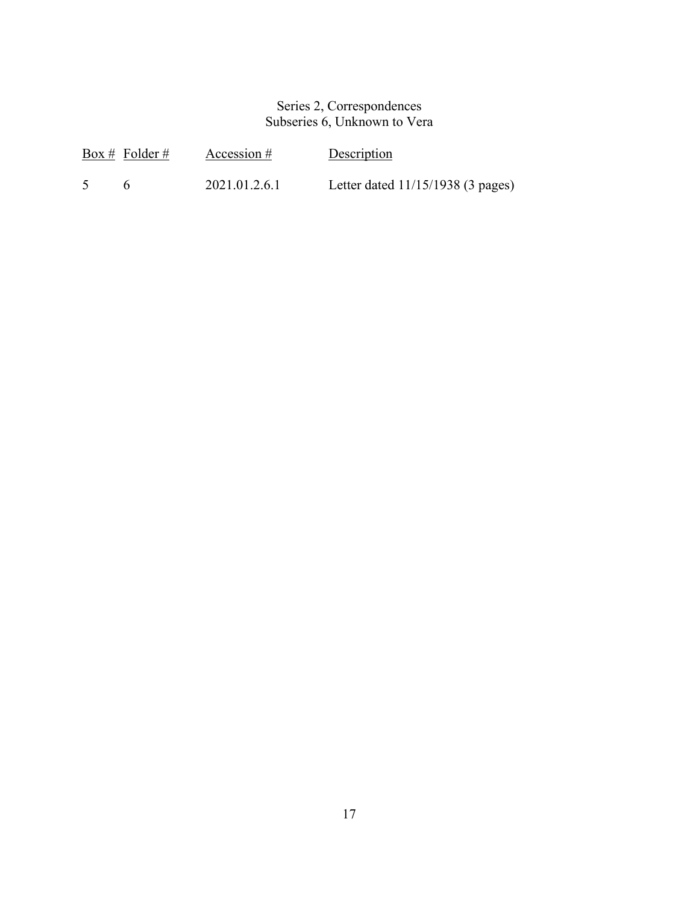### Series 2, Correspondences Subseries 6, Unknown to Vera

|                | Box # Folder # | Accession $#$ | Description                         |
|----------------|----------------|---------------|-------------------------------------|
| 5 <sup>5</sup> |                | 2021.01.2.6.1 | Letter dated $11/15/1938$ (3 pages) |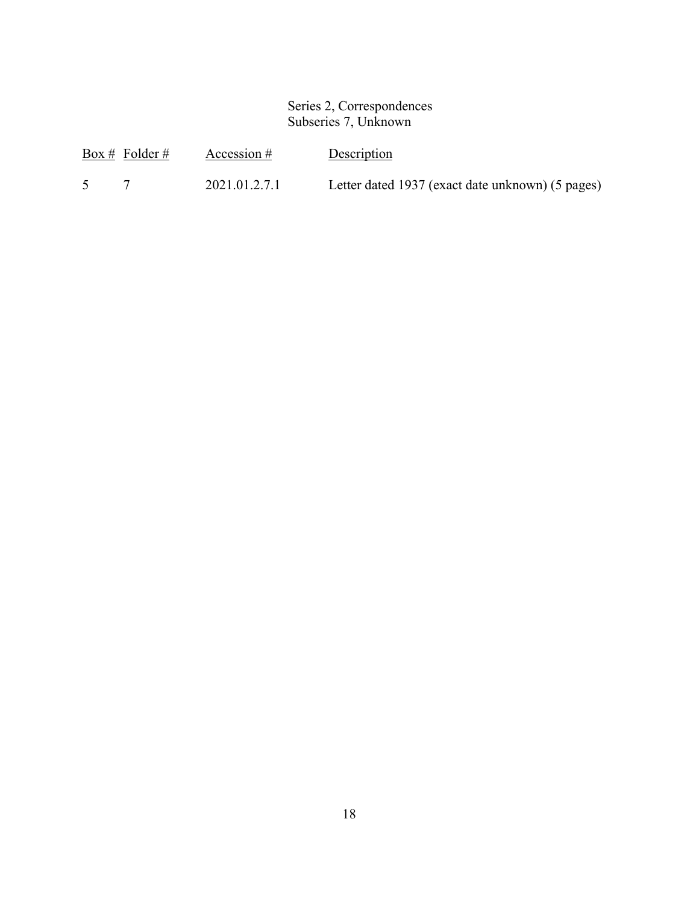### Series 2, Correspondences Subseries 7, Unknown

| Box # Folder # | Accession $#$ | Description                                      |
|----------------|---------------|--------------------------------------------------|
|                | 2021.01.2.7.1 | Letter dated 1937 (exact date unknown) (5 pages) |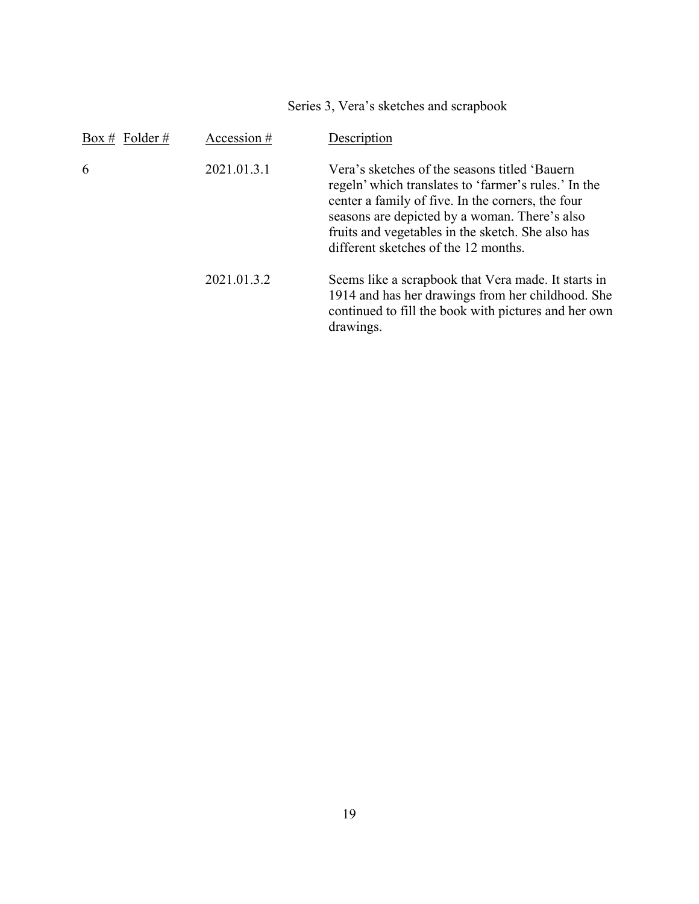Series 3, Vera's sketches and scrapbook

| Box # Folder # | Accession # | Description                                                                                                                                                                                                                                                                                               |
|----------------|-------------|-----------------------------------------------------------------------------------------------------------------------------------------------------------------------------------------------------------------------------------------------------------------------------------------------------------|
| 6              | 2021.01.3.1 | Vera's sketches of the seasons titled 'Bauern'<br>regeln' which translates to 'farmer's rules.' In the<br>center a family of five. In the corners, the four<br>seasons are depicted by a woman. There's also<br>fruits and vegetables in the sketch. She also has<br>different sketches of the 12 months. |
|                | 2021.01.3.2 | Seems like a scrapbook that Vera made. It starts in<br>1914 and has her drawings from her childhood. She<br>continued to fill the book with pictures and her own<br>drawings.                                                                                                                             |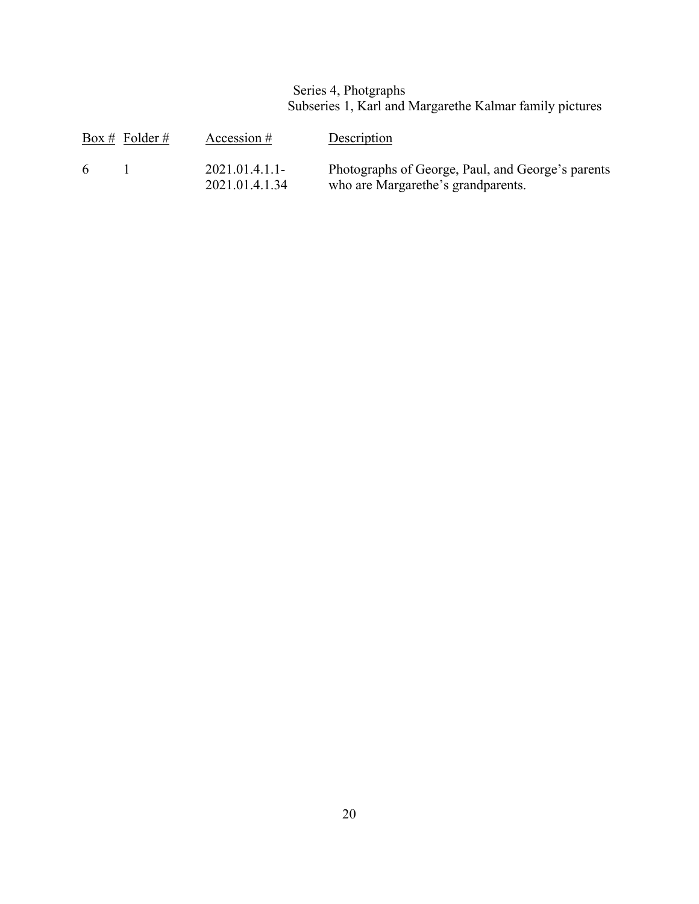Series 4, Photgraphs Subseries 1, Karl and Margarethe Kalmar family pictures

|   | Box # Folder # | Accession $#$                    | Description                                                                             |
|---|----------------|----------------------------------|-----------------------------------------------------------------------------------------|
| 6 |                | 2021.01.4.1.1-<br>2021.01.4.1.34 | Photographs of George, Paul, and George's parents<br>who are Margarethe's grandparents. |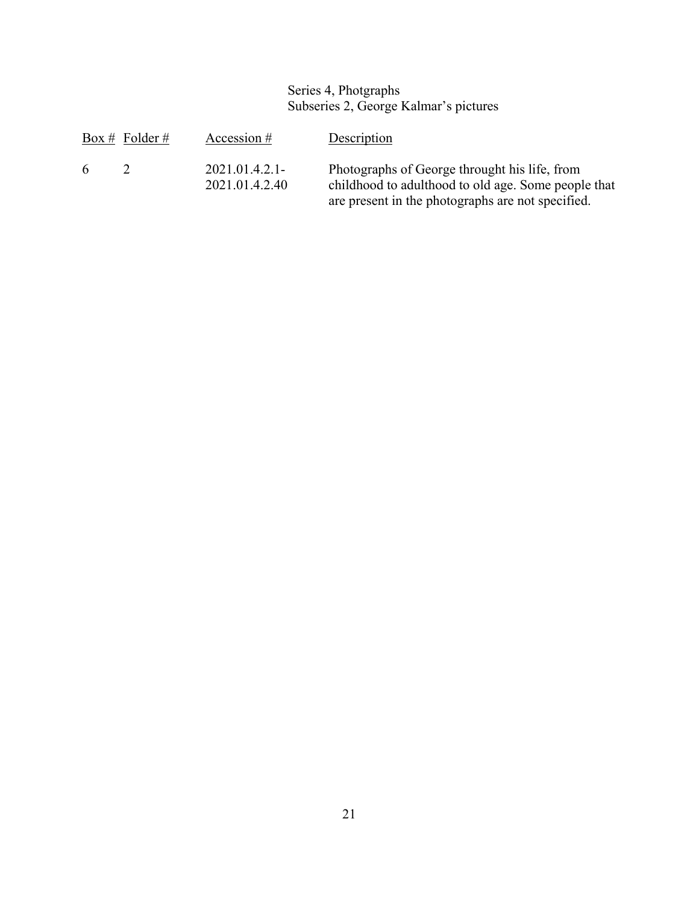### Series 4, Photgraphs Subseries 2, George Kalmar's pictures

|   | Box # Folder # | Accession $#$                      | Description                                                                                                                                               |
|---|----------------|------------------------------------|-----------------------------------------------------------------------------------------------------------------------------------------------------------|
| 6 | $\mathcal{D}$  | $2021.01.4.2.1-$<br>2021.01.4.2.40 | Photographs of George throught his life, from<br>childhood to adulthood to old age. Some people that<br>are present in the photographs are not specified. |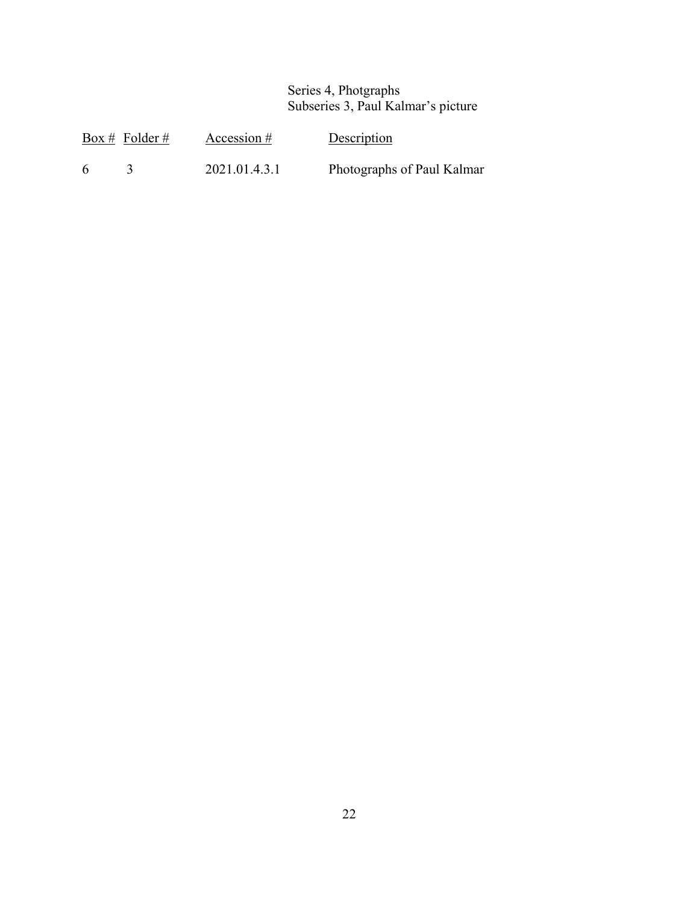### Series 4, Photgraphs Subseries 3, Paul Kalmar's picture

|   | Box # Folder # | Accession $#$ | Description                |
|---|----------------|---------------|----------------------------|
| 6 |                | 2021.01.4.3.1 | Photographs of Paul Kalmar |